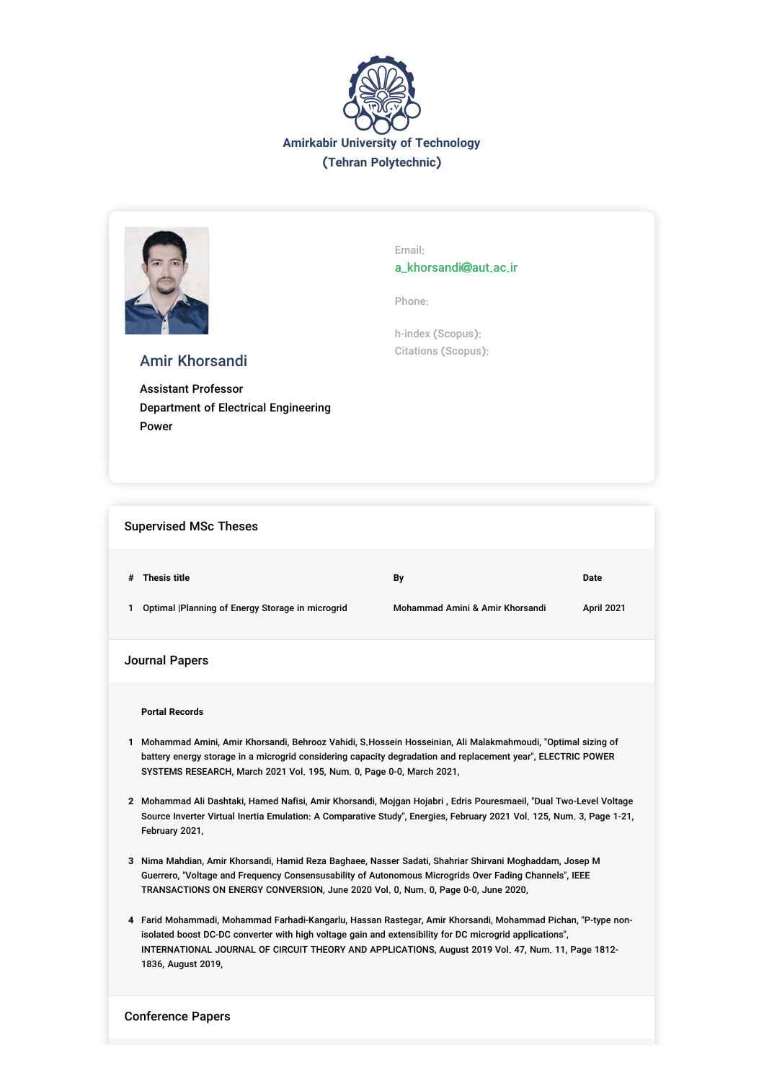



Email: a\_khorsandi@aut.ac.ir

Phone:

h-index (Scopus): Citations (Scopus):

# Amir Khorsandi

Assistant Professor Department of Electrical Engineering Power

### Supervised MSc Theses

|              | # Thesis title                                   | Bv                              | Date              |
|--------------|--------------------------------------------------|---------------------------------|-------------------|
| $\mathbf{1}$ | Optimal  Planning of Energy Storage in microgrid | Mohammad Amini & Amir Khorsandi | <b>April 2021</b> |

## Journal Papers

**Portal Records**

- **1** Mohammad Amini, Amir Khorsandi, Behrooz Vahidi, S.Hossein Hosseinian, Ali Malakmahmoudi, "Optimal sizing of battery energy storage in a microgrid considering capacity degradation and replacement year", ELECTRIC POWER SYSTEMS RESEARCH, March 2021 Vol. 195, Num. 0, Page 0-0, March 2021,
- **2** Mohammad Ali Dashtaki, Hamed Nafisi, Amir Khorsandi, Mojgan Hojabri , Edris Pouresmaeil, "Dual Two-Level Voltage Source Inverter Virtual Inertia Emulation: A Comparative Study", Energies, February 2021 Vol. 125, Num. 3, Page 1-21, February 2021,
- **3** Nima Mahdian, Amir Khorsandi, Hamid Reza Baghaee, Nasser Sadati, Shahriar Shirvani Moghaddam, Josep M Guerrero, "Voltage and Frequency Consensusability of Autonomous Microgrids Over Fading Channels", IEEE TRANSACTIONS ON ENERGY CONVERSION, June 2020 Vol. 0, Num. 0, Page 0-0, June 2020,
- **4** Farid Mohammadi, Mohammad Farhadi-Kangarlu, Hassan Rastegar, Amir Khorsandi, Mohammad Pichan, "P-type nonisolated boost DC-DC converter with high voltage gain and extensibility for DC microgrid applications", INTERNATIONAL JOURNAL OF CIRCUIT THEORY AND APPLICATIONS, August 2019 Vol. 47, Num. 11, Page 1812- 1836, August 2019,

#### Conference Papers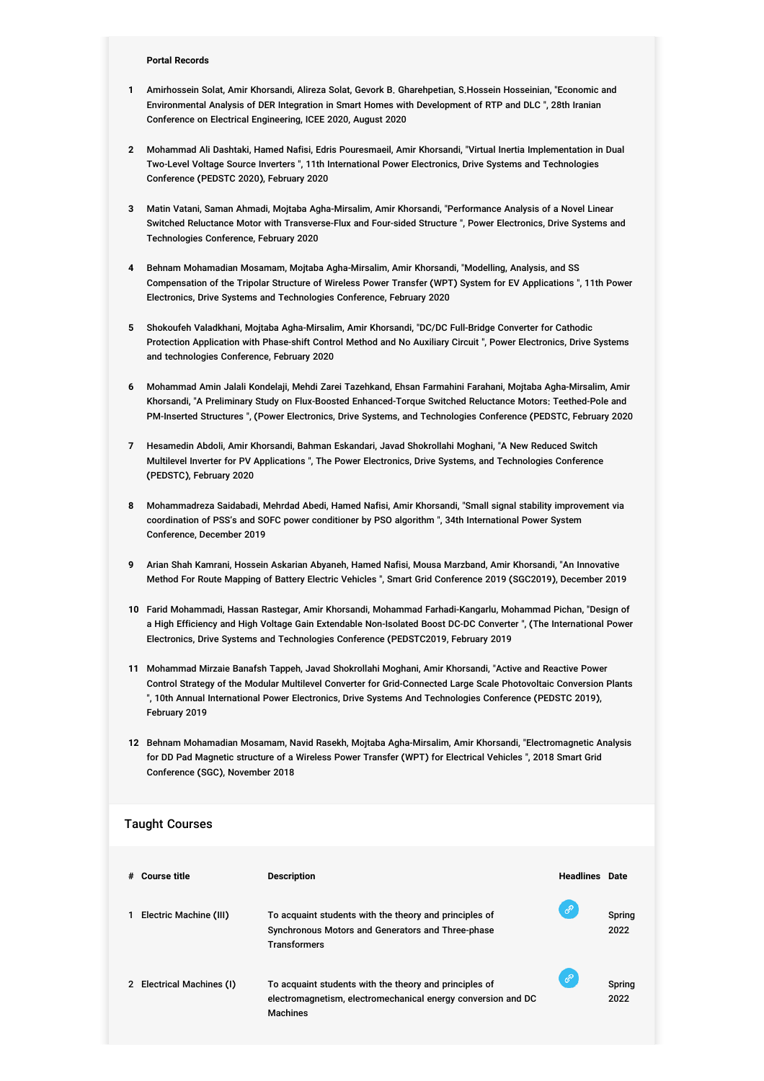#### **Portal Records**

- **1** Amirhossein Solat, Amir Khorsandi, Alireza Solat, Gevork B. Gharehpetian, S.Hossein Hosseinian, "Economic and Environmental Analysis of DER Integration in Smart Homes with Development of RTP and DLC ", 28th Iranian Conference on Electrical Engineering, ICEE 2020, August 2020
- **2** Mohammad Ali Dashtaki, Hamed Nafisi, Edris Pouresmaeil, Amir Khorsandi, "Virtual Inertia Implementation in Dual Two-Level Voltage Source Inverters ", 11th International Power Electronics, Drive Systems and Technologies Conference (PEDSTC 2020), February 2020
- **3** Matin Vatani, Saman Ahmadi, Mojtaba Agha-Mirsalim, Amir Khorsandi, "Performance Analysis of a Novel Linear Switched Reluctance Motor with Transverse-Flux and Four-sided Structure ", Power Electronics, Drive Systems and Technologies Conference, February 2020
- **4** Behnam Mohamadian Mosamam, Mojtaba Agha-Mirsalim, Amir Khorsandi, "Modelling, Analysis, and SS Compensation of the Tripolar Structure of Wireless Power Transfer (WPT) System for EV Applications ", 11th Power Electronics, Drive Systems and Technologies Conference, February 2020
- **5** Shokoufeh Valadkhani, Mojtaba Agha-Mirsalim, Amir Khorsandi, "DC/DC Full-Bridge Converter for Cathodic Protection Application with Phase-shift Control Method and No Auxiliary Circuit ", Power Electronics, Drive Systems and technologies Conference, February 2020
- **6** Mohammad Amin Jalali Kondelaji, Mehdi Zarei Tazehkand, Ehsan Farmahini Farahani, Mojtaba Agha-Mirsalim, Amir Khorsandi, "A Preliminary Study on Flux-Boosted Enhanced-Torque Switched Reluctance Motors: Teethed-Pole and PM-Inserted Structures ", (Power Electronics, Drive Systems, and Technologies Conference (PEDSTC, February 2020
- **7** Hesamedin Abdoli, Amir Khorsandi, Bahman Eskandari, Javad Shokrollahi Moghani, "A New Reduced Switch Multilevel Inverter for PV Applications ", The Power Electronics, Drive Systems, and Technologies Conference (PEDSTC), February 2020
- **8** Mohammadreza Saidabadi, Mehrdad Abedi, Hamed Nafisi, Amir Khorsandi, "Small signal stability improvement via coordination of PSS's and SOFC power conditioner by PSO algorithm ", 34th International Power System Conference, December 2019
- **9** Arian Shah Kamrani, Hossein Askarian Abyaneh, Hamed Nafisi, Mousa Marzband, Amir Khorsandi, "An Innovative Method For Route Mapping of Battery Electric Vehicles ", Smart Grid Conference 2019 (SGC2019), December 2019
- **10** Farid Mohammadi, Hassan Rastegar, Amir Khorsandi, Mohammad Farhadi-Kangarlu, Mohammad Pichan, "Design of a High Efficiency and High Voltage Gain Extendable Non-Isolated Boost DC-DC Converter ", (The International Power Electronics, Drive Systems and Technologies Conference (PEDSTC2019, February 2019
- **11** Mohammad Mirzaie Banafsh Tappeh, Javad Shokrollahi Moghani, Amir Khorsandi, "Active and Reactive Power Control Strategy of the Modular Multilevel Converter for Grid-Connected Large Scale Photovoltaic Conversion Plants ", 10th Annual International Power Electronics, Drive Systems And Technologies Conference (PEDSTC 2019), February 2019
- **12** Behnam Mohamadian Mosamam, Navid Rasekh, Mojtaba Agha-Mirsalim, Amir Khorsandi, "Electromagnetic Analysis for DD Pad Magnetic structure of a Wireless Power Transfer (WPT) for Electrical Vehicles ", 2018 Smart Grid Conference (SGC), November 2018

### Taught Courses

| # | Course title              | <b>Description</b>                                                                                                                        | <b>Headlines</b> Date |                |
|---|---------------------------|-------------------------------------------------------------------------------------------------------------------------------------------|-----------------------|----------------|
|   | Electric Machine (III)    | To acquaint students with the theory and principles of<br>Synchronous Motors and Generators and Three-phase<br><b>Transformers</b>        | ℰ                     | Spring<br>2022 |
|   | 2 Electrical Machines (I) | To acquaint students with the theory and principles of<br>electromagnetism, electromechanical energy conversion and DC<br><b>Machines</b> | ℰ                     | Spring<br>2022 |